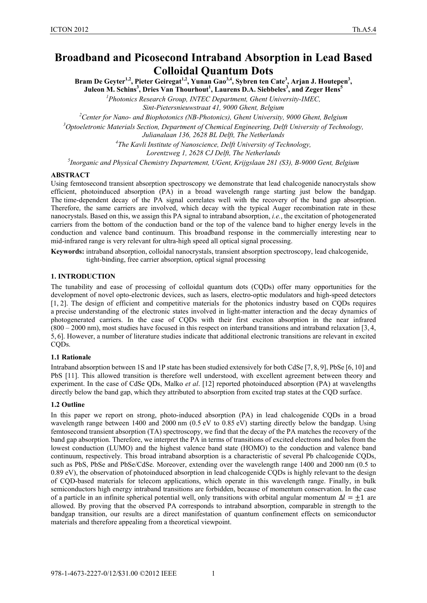# **Broadband and Picosecond Intraband Absorption in Lead Based Colloidal Quantum Dots**

Bram De Geyter<sup>1,2</sup>, Pieter Geiregat<sup>1,2</sup>, Yunan Gao<sup>3,4</sup>, Sybren ten Cate<sup>3</sup>, Arjan J. Houtepen<sup>3</sup>, Juleon M. Schins<sup>3</sup>, Dries Van Thourhout<sup>1</sup>, Laurens D.A. Siebbeles<sup>3</sup>, and Zeger Hens<sup>5</sup>

*1 Photonics Research Group, INTEC Department, Ghent University-IMEC,* 

*Sint-Pietersnieuwstraat 41, 9000 Ghent, Belgium 2*

<sup>2</sup> Center for Nano- and Biophotonics (NB-Photonics), Ghent University, 9000 Ghent, Belgium

*Optoeletronic Materials Section, Department of Chemical Engineering, Delft University of Technology, Julianalaan 136, 2628 BL Delft, The Netherlands 4*

> *The Kavli Institute of Nanoscience, Delft University of Technology,*  Lorentzweg 1, 2628 CJ Delft, The Netherlands

*Inorganic and Physical Chemistry Departement, UGent, Krijgslaan 281 (S3), B-9000 Gent, Belgium*

## **ABSTRACT**

Using femtosecond transient absorption spectroscopy we demonstrate that lead chalcogenide nanocrystals show efficient, photoinduced absorption (PA) in a broad wavelength range starting just below the bandgap. The time-dependent decay of the PA signal correlates well with the recovery of the band gap absorption. Therefore, the same carriers are involved, which decay with the typical Auger recombination rate in these nanocrystals. Based on this, we assign this PA signal to intraband absorption, *i.e.*, the excitation of photogenerated carriers from the bottom of the conduction band or the top of the valence band to higher energy levels in the conduction and valence band continuum. This broadband response in the commercially interesting near to mid-infrared range is very relevant for ultra-high speed all optical signal processing.

**Keywords:** intraband absorption, colloidal nanocrystals, transient absorption spectroscopy, lead chalcogenide, tight-binding, free carrier absorption, optical signal processing

## **1. INTRODUCTION**

The tunability and ease of processing of colloidal quantum dots (CQDs) offer many opportunities for the development of novel opto-electronic devices, such as lasers, electro-optic modulators and high-speed detectors [1, 2]. The design of efficient and competitive materials for the photonics industry based on CQDs requires a precise understanding of the electronic states involved in light-matter interaction and the decay dynamics of photogenerated carriers. In the case of CQDs with their first exciton absorption in the near infrared  $(800 - 2000 \text{ nm})$ , most studies have focused in this respect on interband transitions and intraband relaxation [3, 4, 5, 6]. However, a number of literature studies indicate that additional electronic transitions are relevant in excited CQDs.

## **1.1 Rationale**

Intraband absorption between 1S and 1P state has been studied extensively for both CdSe [7, 8, 9], PbSe [6, 10] and PbS [11]. This allowed transition is therefore well understood, with excellent agreement between theory and experiment. In the case of CdSe QDs, Malko *et al*. [12] reported photoinduced absorption (PA) at wavelengths directly below the band gap, which they attributed to absorption from excited trap states at the CQD surface.

### **1.2 Outline**

In this paper we report on strong, photo-induced absorption (PA) in lead chalcogenide CQDs in a broad wavelength range between 1400 and 2000 nm (0.5 eV to 0.85 eV) starting directly below the bandgap. Using femtosecond transient absorption (TA) spectroscopy, we find that the decay of the PA matches the recovery of the band gap absorption. Therefore, we interpret the PA in terms of transitions of excited electrons and holes from the lowest conduction (LUMO) and the highest valence band state (HOMO) to the conduction and valence band continuum, respectively. This broad intraband absorption is a characteristic of several Pb chalcogenide CQDs, such as PbS, PbSe and PbSe/CdSe. Moreover, extending over the wavelength range 1400 and 2000 nm (0.5 to 0.89 eV), the observation of photoinduced absorption in lead chalcogenide CQDs is highly relevant to the design of CQD-based materials for telecom applications, which operate in this wavelength range. Finally, in bulk semiconductors high energy intraband transitions are forbidden, because of momentum conservation. In the case of a particle in an infinite spherical potential well, only transitions with orbital angular momentum  $\Delta l = \pm 1$  are allowed. By proving that the observed PA corresponds to intraband absorption, comparable in strength to the bandgap transition, our results are a direct manifestation of quantum confinement effects on semiconductor materials and therefore appealing from a theoretical viewpoint.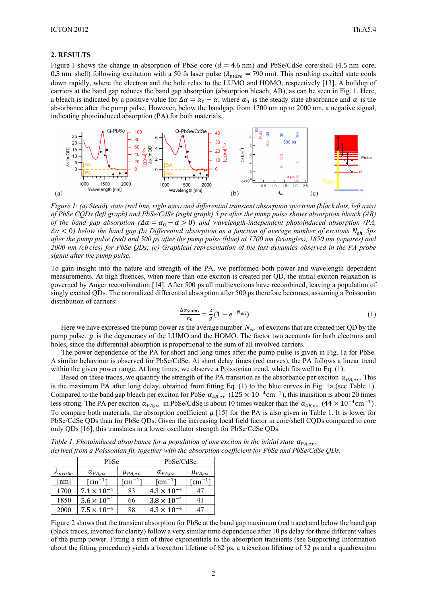#### **2. RESULTS**

Figure 1 shows the change in absorption of PbSe core  $(d = 4.6 \text{ nm})$  and PbSe/CdSe core/shell (4.5 nm core, 0.5 nm shell) following excitation with a 50 fs laser pulse ( $\lambda_{pulse}$  = 790 nm). This resulting excited state cools down rapidly, where the electron and the hole relax to the LUMO and HOMO, respectively [13]. A buildup of carriers at the band gap reduces the band gap absorption (absorption bleach, AB), as can be seen in Fig. 1. Here, a bleach is indicated by a positive value for  $\Delta \alpha = \alpha_0 - \alpha$ , where  $\alpha_0$  is the steady state absorbance and  $\alpha$  is the absorbance after the pump pulse. However, below the bandgap, from 1700 nm up to 2000 nm, a negative signal, indicating photoinduced absorption (PA) for both materials.



*Figure 1: (a) Steady state (red line, right axis) and differential transient absorption spectrum (black dots, left axis) of PbSe CQDs (left graph) and PbSe/CdSe (right graph) 5 ps after the pump pulse shows absorption bleach (AB) of the band gap absorption*  $(\Delta \alpha = \alpha_0 - \alpha > 0)$  and wavelength-independent photoinduced absorption (PA,  $\Delta \alpha$  < 0) below the band gap;(b) Differential absorption as a function of average number of excitons  $N_{eh}$  5ps *after the pump pulse (red) and 500 ps after the pump pulse (blue) at 1700 nm (triangles), 1850 nm (squares) and 2000 nm (circles) for PbSe QDs; (c) Graphical representation of the fast dynamics observed in the PA probe signal after the pump pulse.* 

To gain insight into the nature and strength of the PA, we performed both power and wavelength dependent measurements. At high fluences, when more than one exciton is created per QD, the initial exciton relaxation is governed by Auger recombination [14]. After 500 ps all multiexcitons have recombined, leaving a population of singly excited QDs. The normalized differential absorption after 500 ps therefore becomes, assuming a Poissonian distribution of carriers:

$$
\frac{\Delta \alpha_{500ps}}{\alpha_0} = \frac{2}{g} \left( 1 - e^{-N_{eh}} \right) \tag{1}
$$

Here we have expressed the pump power as the average number  $N_{eh}$  of excitons that are created per QD by the pump pulse. g is the degeneracy of the LUMO and the HOMO. The factor two accounts for both electrons and holes, since the differential absorption is proportional to the sum of all involved carriers.

The power dependence of the PA for short and long times after the pump pulse is given in Fig. 1a for PbSe. A similar behaviour is observed for PbSe/CdSe. At short delay times (red curves), the PA follows a linear trend within the given power range. At long times, we observe a Poissonian trend, which fits well to Eq. (1).

Based on these traces, we quantify the strength of the PA transition as the absorbance per exciton  $\alpha_{P>Aex}$ . This is the maximum PA after long delay, obtained from fitting Eq. (1) to the blue curves in Fig. 1a (see Table 1). Compared to the band gap bleach per exciton for PbSe  $\alpha_{AB,ex}$  (125  $\times$  10<sup>-4</sup>cm<sup>-1</sup>), this transition is about 20 times less strong. The PA per exciton  $\alpha_{PA,ex}$  in PbSe/CdSe is about 10 times weaker than the  $\alpha_{AB,ex}$  (44  $\times$  10<sup>-4</sup>cm<sup>-1</sup>). To compare both materials, the absorption coefficient  $\mu$  [15] for the PA is also given in Table 1. It is lower for PbSe/CdSe QDs than for PbSe QDs. Given the increasing local field factor in core/shell CQDs compared to core only QDs [16], this translates in a lower oscillator strength for PbSe/CdSe QDs.

PbSe PbSe/CdSe  $\lambda_{probe}$   $\alpha_{PA,ex}$   $\mu_{PA,ex}$   $\alpha_{PA,ex}$   $\mu_{PA,ex}$  $\lceil$ [nm]  $\lceil$   $\lfloor$   $\lfloor$ cm<sup>-1</sup>]  $\lfloor$   $\lfloor$   $\lfloor$  cm<sup>-1</sup>]  $\lfloor$   $\lfloor$  cm<sup>-1</sup>]  $\lfloor$   $\lfloor$  cm<sup>-1</sup>  $1700$  7.1  $\times$  10<sup>-4</sup> 83 4.3  $\times$  10<sup>-4</sup> 47  $1850 \mid 5.6 \times 10^{-4} \mid 66 \mid 3.8 \times 10^{-4} \mid 41$  $2000 \mid 7.5 \times 10^{-4} \mid 88 \mid 4.3 \times 10^{-4} \mid 47$ 

*Table 1. Photoinduced absorbance for a population of one exciton in the initial state*  $\alpha_{PA,ex}$ , *derived from a Poissonian fit, together with the absorption coefficient for PbSe and PbSe/CdSe QDs.* 

Figure 2 shows that the transient absorption for PbSe at the band gap maximum (red trace) and below the band gap (black traces, inverted for clarity) follow a very similar time dependence after 10 ps delay for three different values of the pump power. Fitting a sum of three exponentials to the absorption transients (see Supporting Information about the fitting procedure) yields a biexciton lifetime of 82 ps, a triexciton lifetime of 32 ps and a quadrexciton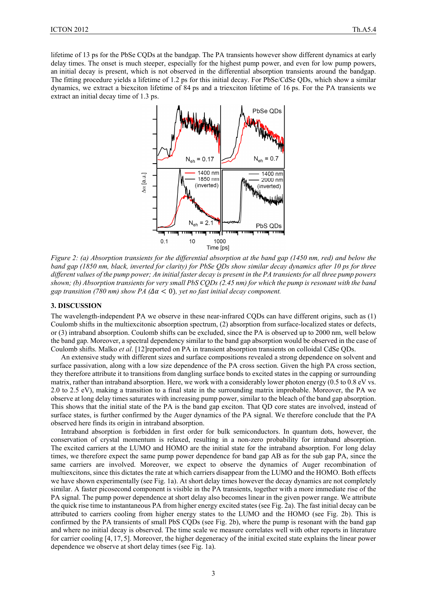lifetime of 13 ps for the PbSe CQDs at the bandgap. The PA transients however show different dynamics at early delay times. The onset is much steeper, especially for the highest pump power, and even for low pump powers, an initial decay is present, which is not observed in the differential absorption transients around the bandgap. The fitting procedure yields a lifetime of 1.2 ps for this initial decay. For PbSe/CdSe QDs, which show a similar dynamics, we extract a biexciton lifetime of 84 ps and a triexciton lifetime of 16 ps. For the PA transients we extract an initial decay time of 1.3 ps.



*Figure 2: (a) Absorption transients for the differential absorption at the band gap (1450 nm, red) and below the band gap (1850 nm, black, inverted for clarity) for PbSe QDs show similar decay dynamics after 10 ps for three different values of the pump power; An initial faster decay is present in the PA transients for all three pump powers shown; (b) Absorption transients for very small PbS CQDs (2.45 nm) for which the pump is resonant with the band gap transition (780 nm) show PA (* $\Delta \alpha < 0$ *), yet no fast initial decay component.* 

## **3. DISCUSSION**

The wavelength-independent PA we observe in these near-infrared CQDs can have different origins, such as (1) Coulomb shifts in the multiexcitonic absorption spectrum, (2) absorption from surface-localized states or defects, or (3) intraband absorption. Coulomb shifts can be excluded, since the PA is observed up to 2000 nm, well below the band gap. Moreover, a spectral dependency similar to the band gap absorption would be observed in the case of Coulomb shifts. Malko *et al*. [12]reported on PA in transient absorption transients on colloidal CdSe QDs.

An extensive study with different sizes and surface compositions revealed a strong dependence on solvent and surface passivation, along with a low size dependence of the PA cross section. Given the high PA cross section, they therefore attribute it to transitions from dangling surface bonds to excited states in the capping or surrounding matrix, rather than intraband absorption. Here, we work with a considerably lower photon energy (0.5 to 0.8 eV vs. 2.0 to 2.5 eV), making a transition to a final state in the surrounding matrix improbable. Moreover, the PA we observe at long delay times saturates with increasing pump power, similar to the bleach of the band gap absorption. This shows that the initial state of the PA is the band gap exciton. That QD core states are involved, instead of surface states, is further confirmed by the Auger dynamics of the PA signal. We therefore conclude that the PA observed here finds its origin in intraband absorption.

Intraband absorption is forbidden in first order for bulk semiconductors. In quantum dots, however, the conservation of crystal momentum is relaxed, resulting in a non-zero probability for intraband absorption. The excited carriers at the LUMO and HOMO are the initial state for the intraband absorption. For long delay times, we therefore expect the same pump power dependence for band gap AB as for the sub gap PA, since the same carriers are involved. Moreover, we expect to observe the dynamics of Auger recombination of multiexcitons, since this dictates the rate at which carriers disappear from the LUMO and the HOMO. Both effects we have shown experimentally (see Fig. 1a). At short delay times however the decay dynamics are not completely similar. A faster picosecond component is visible in the PA transients, together with a more immediate rise of the PA signal. The pump power dependence at short delay also becomes linear in the given power range. We attribute the quick rise time to instantaneous PA from higher energy excited states (see Fig. 2a). The fast initial decay can be attributed to carriers cooling from higher energy states to the LUMO and the HOMO (see Fig. 2b). This is confirmed by the PA transients of small PbS CQDs (see Fig. 2b), where the pump is resonant with the band gap and where no initial decay is observed. The time scale we measure correlates well with other reports in literature for carrier cooling [4, 17, 5]. Moreover, the higher degeneracy of the initial excited state explains the linear power dependence we observe at short delay times (see Fig. 1a).